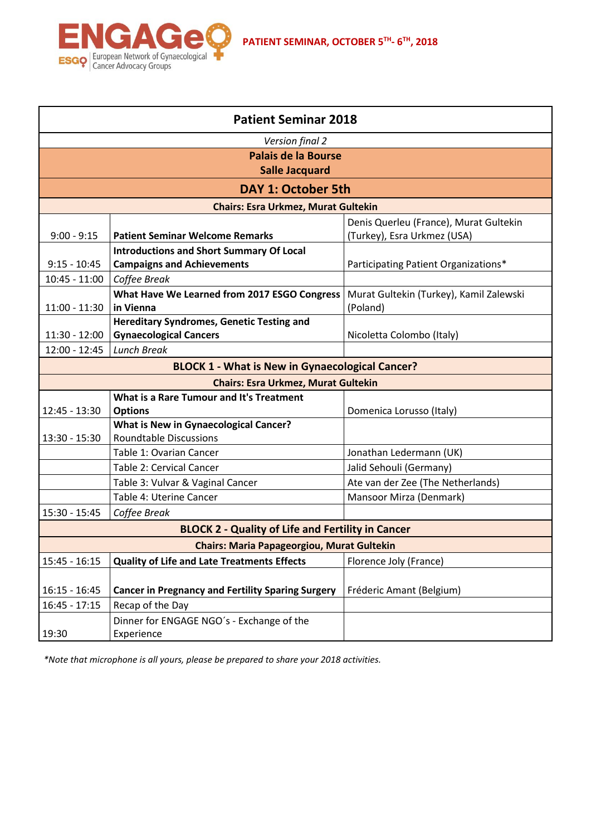

| <b>Patient Seminar 2018</b>                |                                                          |                                         |  |  |
|--------------------------------------------|----------------------------------------------------------|-----------------------------------------|--|--|
| Version final 2                            |                                                          |                                         |  |  |
| <b>Palais de la Bourse</b>                 |                                                          |                                         |  |  |
| <b>Salle Jacquard</b>                      |                                                          |                                         |  |  |
| <b>DAY 1: October 5th</b>                  |                                                          |                                         |  |  |
| <b>Chairs: Esra Urkmez, Murat Gultekin</b> |                                                          |                                         |  |  |
|                                            |                                                          | Denis Querleu (France), Murat Gultekin  |  |  |
| $9:00 - 9:15$                              | <b>Patient Seminar Welcome Remarks</b>                   | (Turkey), Esra Urkmez (USA)             |  |  |
|                                            | <b>Introductions and Short Summary Of Local</b>          |                                         |  |  |
| $9:15 - 10:45$                             | <b>Campaigns and Achievements</b>                        | Participating Patient Organizations*    |  |  |
| $10:45 - 11:00$                            | Coffee Break                                             |                                         |  |  |
|                                            | What Have We Learned from 2017 ESGO Congress             | Murat Gultekin (Turkey), Kamil Zalewski |  |  |
| $11:00 - 11:30$                            | in Vienna                                                | (Poland)                                |  |  |
|                                            | <b>Hereditary Syndromes, Genetic Testing and</b>         |                                         |  |  |
| $11:30 - 12:00$                            | <b>Gynaecological Cancers</b>                            | Nicoletta Colombo (Italy)               |  |  |
| $12:00 - 12:45$                            | <b>Lunch Break</b>                                       |                                         |  |  |
|                                            | <b>BLOCK 1 - What is New in Gynaecological Cancer?</b>   |                                         |  |  |
|                                            | <b>Chairs: Esra Urkmez, Murat Gultekin</b>               |                                         |  |  |
|                                            | What is a Rare Tumour and It's Treatment                 |                                         |  |  |
| 12:45 - 13:30                              | <b>Options</b>                                           | Domenica Lorusso (Italy)                |  |  |
|                                            | <b>What is New in Gynaecological Cancer?</b>             |                                         |  |  |
| 13:30 - 15:30                              | <b>Roundtable Discussions</b>                            |                                         |  |  |
|                                            | Table 1: Ovarian Cancer                                  | Jonathan Ledermann (UK)                 |  |  |
|                                            | Table 2: Cervical Cancer                                 | Jalid Sehouli (Germany)                 |  |  |
|                                            | Table 3: Vulvar & Vaginal Cancer                         | Ate van der Zee (The Netherlands)       |  |  |
|                                            | Table 4: Uterine Cancer                                  | Mansoor Mirza (Denmark)                 |  |  |
| 15:30 - 15:45                              | Coffee Break                                             |                                         |  |  |
|                                            | <b>BLOCK 2 - Quality of Life and Fertility in Cancer</b> |                                         |  |  |
|                                            | <b>Chairs: Maria Papageorgiou, Murat Gultekin</b>        |                                         |  |  |
| $15:45 - 16:15$                            | <b>Quality of Life and Late Treatments Effects</b>       | Florence Joly (France)                  |  |  |
|                                            |                                                          |                                         |  |  |
| $16:15 - 16:45$                            | <b>Cancer in Pregnancy and Fertility Sparing Surgery</b> | Fréderic Amant (Belgium)                |  |  |
| $16:45 - 17:15$                            | Recap of the Day                                         |                                         |  |  |
|                                            | Dinner for ENGAGE NGO's - Exchange of the                |                                         |  |  |
| 19:30                                      | Experience                                               |                                         |  |  |

**PATIENT SEMINAR, OCTOBER 5TH - 6 TH, 2018**

*\*Note that microphone is all yours, please be prepared to share your 2018 activities.*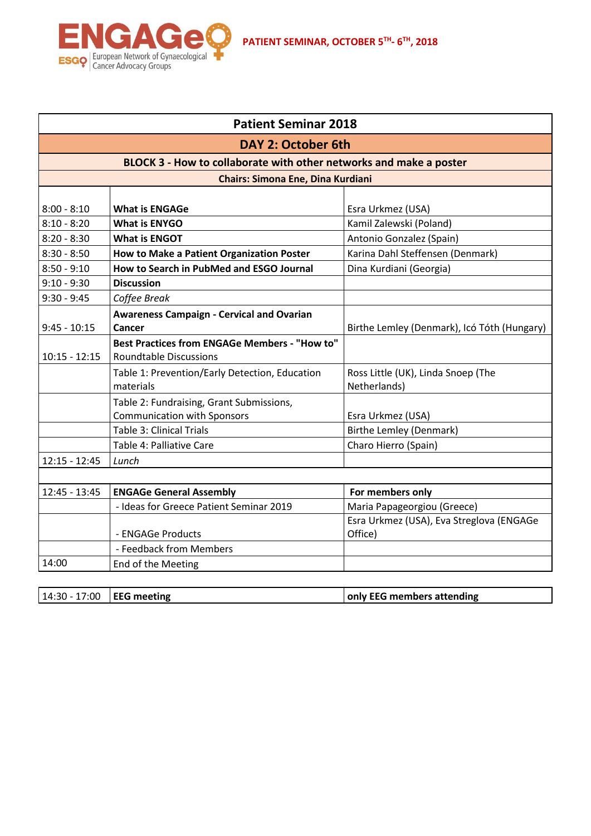

| <b>Patient Seminar 2018</b>                                                                                                                 |                                                      |                                             |  |  |               |                       |                   |
|---------------------------------------------------------------------------------------------------------------------------------------------|------------------------------------------------------|---------------------------------------------|--|--|---------------|-----------------------|-------------------|
| <b>DAY 2: October 6th</b><br>BLOCK 3 - How to collaborate with other networks and make a poster<br><b>Chairs: Simona Ene, Dina Kurdiani</b> |                                                      |                                             |  |  |               |                       |                   |
|                                                                                                                                             |                                                      |                                             |  |  |               |                       |                   |
|                                                                                                                                             |                                                      |                                             |  |  | $8:00 - 8:10$ | <b>What is ENGAGe</b> | Esra Urkmez (USA) |
| $8:10 - 8:20$                                                                                                                               | <b>What is ENYGO</b>                                 | Kamil Zalewski (Poland)                     |  |  |               |                       |                   |
| $8:20 - 8:30$                                                                                                                               | <b>What is ENGOT</b>                                 | Antonio Gonzalez (Spain)                    |  |  |               |                       |                   |
| $8:30 - 8:50$                                                                                                                               | How to Make a Patient Organization Poster            | Karina Dahl Steffensen (Denmark)            |  |  |               |                       |                   |
| $8:50 - 9:10$                                                                                                                               | How to Search in PubMed and ESGO Journal             | Dina Kurdiani (Georgia)                     |  |  |               |                       |                   |
| $9:10 - 9:30$                                                                                                                               | <b>Discussion</b>                                    |                                             |  |  |               |                       |                   |
| $9:30 - 9:45$                                                                                                                               | Coffee Break                                         |                                             |  |  |               |                       |                   |
|                                                                                                                                             | <b>Awareness Campaign - Cervical and Ovarian</b>     |                                             |  |  |               |                       |                   |
| $9:45 - 10:15$                                                                                                                              | Cancer                                               | Birthe Lemley (Denmark), Icó Tóth (Hungary) |  |  |               |                       |                   |
|                                                                                                                                             | <b>Best Practices from ENGAGe Members - "How to"</b> |                                             |  |  |               |                       |                   |
| $10:15 - 12:15$                                                                                                                             | <b>Roundtable Discussions</b>                        |                                             |  |  |               |                       |                   |
|                                                                                                                                             | Table 1: Prevention/Early Detection, Education       | Ross Little (UK), Linda Snoep (The          |  |  |               |                       |                   |
|                                                                                                                                             | materials                                            | Netherlands)                                |  |  |               |                       |                   |
|                                                                                                                                             | Table 2: Fundraising, Grant Submissions,             |                                             |  |  |               |                       |                   |
|                                                                                                                                             | <b>Communication with Sponsors</b>                   | Esra Urkmez (USA)                           |  |  |               |                       |                   |
|                                                                                                                                             | <b>Table 3: Clinical Trials</b>                      | <b>Birthe Lemley (Denmark)</b>              |  |  |               |                       |                   |
|                                                                                                                                             | Table 4: Palliative Care                             | Charo Hierro (Spain)                        |  |  |               |                       |                   |
| $12:15 - 12:45$                                                                                                                             | Lunch                                                |                                             |  |  |               |                       |                   |
|                                                                                                                                             |                                                      |                                             |  |  |               |                       |                   |
| $12:45 - 13:45$                                                                                                                             | <b>ENGAGe General Assembly</b>                       | For members only                            |  |  |               |                       |                   |
|                                                                                                                                             | - Ideas for Greece Patient Seminar 2019              | Maria Papageorgiou (Greece)                 |  |  |               |                       |                   |
|                                                                                                                                             |                                                      | Esra Urkmez (USA), Eva Streglova (ENGAGe    |  |  |               |                       |                   |
|                                                                                                                                             | - ENGAGe Products                                    | Office)                                     |  |  |               |                       |                   |
|                                                                                                                                             | - Feedback from Members                              |                                             |  |  |               |                       |                   |
| 14:00                                                                                                                                       | End of the Meeting                                   |                                             |  |  |               |                       |                   |
|                                                                                                                                             |                                                      |                                             |  |  |               |                       |                   |
|                                                                                                                                             |                                                      |                                             |  |  |               |                       |                   |

| $14:30 - 17:00$ EEG meeting | only EEG members attending |
|-----------------------------|----------------------------|
|                             |                            |